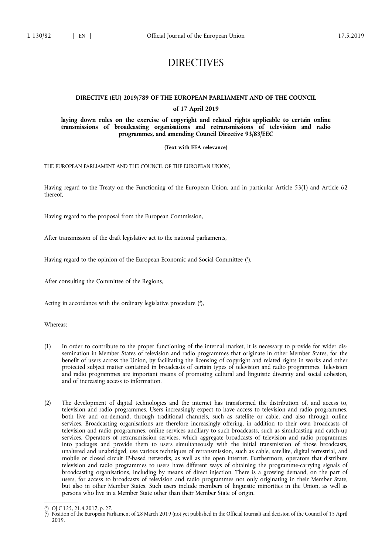# DIRECTIVES

# **DIRECTIVE (EU) 2019/789 OF THE EUROPEAN PARLIAMENT AND OF THE COUNCIL**

## **of 17 April 2019**

**laying down rules on the exercise of copyright and related rights applicable to certain online transmissions of broadcasting organisations and retransmissions of television and radio programmes, and amending Council Directive 93/83/EEC** 

## **(Text with EEA relevance)**

THE EUROPEAN PARLIAMENT AND THE COUNCIL OF THE EUROPEAN UNION,

Having regard to the Treaty on the Functioning of the European Union, and in particular Article 53(1) and Article 62 thereof,

Having regard to the proposal from the European Commission,

After transmission of the draft legislative act to the national parliaments,

Having regard to the opinion of the European Economic and Social Committee ( 1 ),

After consulting the Committee of the Regions,

Acting in accordance with the ordinary legislative procedure (2),

Whereas:

- (1) In order to contribute to the proper functioning of the internal market, it is necessary to provide for wider dissemination in Member States of television and radio programmes that originate in other Member States, for the benefit of users across the Union, by facilitating the licensing of copyright and related rights in works and other protected subject matter contained in broadcasts of certain types of television and radio programmes. Television and radio programmes are important means of promoting cultural and linguistic diversity and social cohesion, and of increasing access to information.
- (2) The development of digital technologies and the internet has transformed the distribution of, and access to, television and radio programmes. Users increasingly expect to have access to television and radio programmes, both live and on-demand, through traditional channels, such as satellite or cable, and also through online services. Broadcasting organisations are therefore increasingly offering, in addition to their own broadcasts of television and radio programmes, online services ancillary to such broadcasts, such as simulcasting and catch-up services. Operators of retransmission services, which aggregate broadcasts of television and radio programmes into packages and provide them to users simultaneously with the initial transmission of those broadcasts, unaltered and unabridged, use various techniques of retransmission, such as cable, satellite, digital terrestrial, and mobile or closed circuit IP-based networks, as well as the open internet. Furthermore, operators that distribute television and radio programmes to users have different ways of obtaining the programme-carrying signals of broadcasting organisations, including by means of direct injection. There is a growing demand, on the part of users, for access to broadcasts of television and radio programmes not only originating in their Member State, but also in other Member States. Such users include members of linguistic minorities in the Union, as well as persons who live in a Member State other than their Member State of origin.

<sup>(</sup> 1 ) OJ C 125, 21.4.2017, p. 27.

<sup>(</sup> 2 ) Position of the European Parliament of 28 March 2019 (not yet published in the Official Journal) and decision of the Council of 15 April 2019.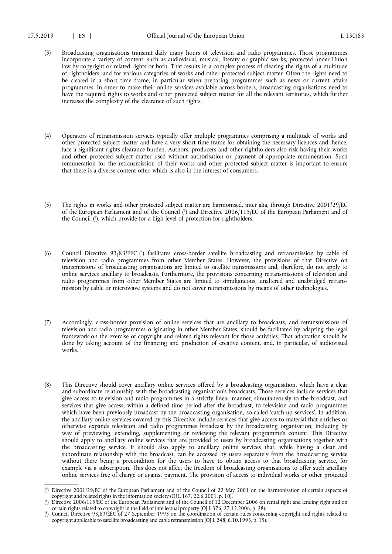- (3) Broadcasting organisations transmit daily many hours of television and radio programmes. Those programmes incorporate a variety of content, such as audiovisual, musical, literary or graphic works, protected under Union law by copyright or related rights or both. That results in a complex process of clearing the rights of a multitude of rightholders, and for various categories of works and other protected subject matter. Often the rights need to be cleared in a short time frame, in particular when preparing programmes such as news or current affairs programmes. In order to make their online services available across borders, broadcasting organisations need to have the required rights to works and other protected subject matter for all the relevant territories, which further increases the complexity of the clearance of such rights.
- (4) Operators of retransmission services typically offer multiple programmes comprising a multitude of works and other protected subject matter and have a very short time frame for obtaining the necessary licences and, hence, face a significant rights clearance burden. Authors, producers and other rightholders also risk having their works and other protected subject matter used without authorisation or payment of appropriate remuneration. Such remuneration for the retransmission of their works and other protected subject matter is important to ensure that there is a diverse content offer, which is also in the interest of consumers.
- (5) The rights in works and other protected subject matter are harmonised, inter alia, through Directive 2001/29/EC of the European Parliament and of the Council ( 3 ) and Directive 2006/115/EC of the European Parliament and of the Council ( 4 ), which provide for a high level of protection for rightholders.
- (6) Council Directive 93/83/EEC ( 5 ) facilitates cross-border satellite broadcasting and retransmission by cable of television and radio programmes from other Member States. However, the provisions of that Directive on transmissions of broadcasting organisations are limited to satellite transmissions and, therefore, do not apply to online services ancillary to broadcasts. Furthermore, the provisions concerning retransmissions of television and radio programmes from other Member States are limited to simultaneous, unaltered and unabridged retransmission by cable or microwave systems and do not cover retransmissions by means of other technologies.
- (7) Accordingly, cross-border provision of online services that are ancillary to broadcasts, and retransmissions of television and radio programmes originating in other Member States, should be facilitated by adapting the legal framework on the exercise of copyright and related rights relevant for those activities. That adaptation should be done by taking account of the financing and production of creative content, and, in particular, of audiovisual works.
- (8) This Directive should cover ancillary online services offered by a broadcasting organisation, which have a clear and subordinate relationship with the broadcasting organisation's broadcasts. Those services include services that give access to television and radio programmes in a strictly linear manner, simultaneously to the broadcast, and services that give access, within a defined time period after the broadcast, to television and radio programmes which have been previously broadcast by the broadcasting organisation, so-called 'catch-up services'. In addition, the ancillary online services covered by this Directive include services that give access to material that enriches or otherwise expands television and radio programmes broadcast by the broadcasting organisation, including by way of previewing, extending, supplementing or reviewing the relevant programme's content. This Directive should apply to ancillary online services that are provided to users by broadcasting organisations together with the broadcasting service. It should also apply to ancillary online services that, while having a clear and subordinate relationship with the broadcast, can be accessed by users separately from the broadcasting service without there being a precondition for the users to have to obtain access to that broadcasting service, for example via a subscription. This does not affect the freedom of broadcasting organisations to offer such ancillary online services free of charge or against payment. The provision of access to individual works or other protected

<sup>(</sup> 3 ) Directive 2001/29/EC of the European Parliament and of the Council of 22 May 2001 on the harmonisation of certain aspects of copyright and related rights in the information society (OJ L 167, 22.6.2001, p. 10).

<sup>(</sup> 4 ) Directive 2006/115/EC of the European Parliament and of the Council of 12 December 2006 on rental right and lending right and on certain rights related to copyright in the field of intellectual property (OJ L 376, 27.12.2006, p. 28).

<sup>(</sup> 5 ) Council Directive 93/83/EEC of 27 September 1993 on the coordination of certain rules concerning copyright and rights related to copyright applicable to satellite broadcasting and cable retransmission (OJ L 248, 6.10.1993, p. 15).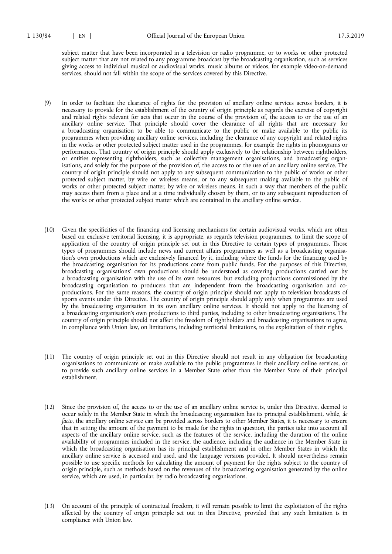subject matter that have been incorporated in a television or radio programme, or to works or other protected subject matter that are not related to any programme broadcast by the broadcasting organisation, such as services giving access to individual musical or audiovisual works, music albums or videos, for example video-on-demand services, should not fall within the scope of the services covered by this Directive.

- (9) In order to facilitate the clearance of rights for the provision of ancillary online services across borders, it is necessary to provide for the establishment of the country of origin principle as regards the exercise of copyright and related rights relevant for acts that occur in the course of the provision of, the access to or the use of an ancillary online service. That principle should cover the clearance of all rights that are necessary for a broadcasting organisation to be able to communicate to the public or make available to the public its programmes when providing ancillary online services, including the clearance of any copyright and related rights in the works or other protected subject matter used in the programmes, for example the rights in phonograms or performances. That country of origin principle should apply exclusively to the relationship between rightholders, or entities representing rightholders, such as collective management organisations, and broadcasting organisations, and solely for the purpose of the provision of, the access to or the use of an ancillary online service. The country of origin principle should not apply to any subsequent communication to the public of works or other protected subject matter, by wire or wireless means, or to any subsequent making available to the public of works or other protected subject matter, by wire or wireless means, in such a way that members of the public may access them from a place and at a time individually chosen by them, or to any subsequent reproduction of the works or other protected subject matter which are contained in the ancillary online service.
- (10) Given the specificities of the financing and licensing mechanisms for certain audiovisual works, which are often based on exclusive territorial licensing, it is appropriate, as regards television programmes, to limit the scope of application of the country of origin principle set out in this Directive to certain types of programmes. Those types of programmes should include news and current affairs programmes as well as a broadcasting organisation's own productions which are exclusively financed by it, including where the funds for the financing used by the broadcasting organisation for its productions come from public funds. For the purposes of this Directive, broadcasting organisations' own productions should be understood as covering productions carried out by a broadcasting organisation with the use of its own resources, but excluding productions commissioned by the broadcasting organisation to producers that are independent from the broadcasting organisation and coproductions. For the same reasons, the country of origin principle should not apply to television broadcasts of sports events under this Directive. The country of origin principle should apply only when programmes are used by the broadcasting organisation in its own ancillary online services. It should not apply to the licensing of a broadcasting organisation's own productions to third parties, including to other broadcasting organisations. The country of origin principle should not affect the freedom of rightholders and broadcasting organisations to agree, in compliance with Union law, on limitations, including territorial limitations, to the exploitation of their rights.
- (11) The country of origin principle set out in this Directive should not result in any obligation for broadcasting organisations to communicate or make available to the public programmes in their ancillary online services, or to provide such ancillary online services in a Member State other than the Member State of their principal establishment.
- (12) Since the provision of, the access to or the use of an ancillary online service is, under this Directive, deemed to occur solely in the Member State in which the broadcasting organisation has its principal establishment, while, *de facto*, the ancillary online service can be provided across borders to other Member States, it is necessary to ensure that in setting the amount of the payment to be made for the rights in question, the parties take into account all aspects of the ancillary online service, such as the features of the service, including the duration of the online availability of programmes included in the service, the audience, including the audience in the Member State in which the broadcasting organisation has its principal establishment and in other Member States in which the ancillary online service is accessed and used, and the language versions provided. It should nevertheless remain possible to use specific methods for calculating the amount of payment for the rights subject to the country of origin principle, such as methods based on the revenues of the broadcasting organisation generated by the online service, which are used, in particular, by radio broadcasting organisations.
- (13) On account of the principle of contractual freedom, it will remain possible to limit the exploitation of the rights affected by the country of origin principle set out in this Directive, provided that any such limitation is in compliance with Union law.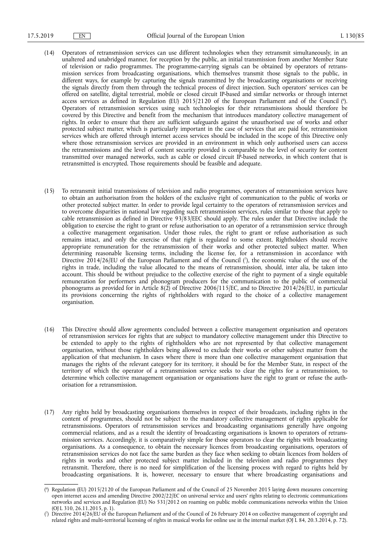- (14) Operators of retransmission services can use different technologies when they retransmit simultaneously, in an unaltered and unabridged manner, for reception by the public, an initial transmission from another Member State of television or radio programmes. The programme-carrying signals can be obtained by operators of retransmission services from broadcasting organisations, which themselves transmit those signals to the public, in different ways, for example by capturing the signals transmitted by the broadcasting organisations or receiving the signals directly from them through the technical process of direct injection. Such operators' services can be offered on satellite, digital terrestrial, mobile or closed circuit IP-based and similar networks or through internet access services as defined in Regulation (EU) 2015/2120 of the European Parliament and of the Council (°). Operators of retransmission services using such technologies for their retransmissions should therefore be covered by this Directive and benefit from the mechanism that introduces mandatory collective management of rights. In order to ensure that there are sufficient safeguards against the unauthorised use of works and other protected subject matter, which is particularly important in the case of services that are paid for, retransmission services which are offered through internet access services should be included in the scope of this Directive only where those retransmission services are provided in an environment in which only authorised users can access the retransmissions and the level of content security provided is comparable to the level of security for content transmitted over managed networks, such as cable or closed circuit IP-based networks, in which content that is retransmitted is encrypted. Those requirements should be feasible and adequate.
- (15) To retransmit initial transmissions of television and radio programmes, operators of retransmission services have to obtain an authorisation from the holders of the exclusive right of communication to the public of works or other protected subject matter. In order to provide legal certainty to the operators of retransmission services and to overcome disparities in national law regarding such retransmission services, rules similar to those that apply to cable retransmission as defined in Directive 93/83/EEC should apply. The rules under that Directive include the obligation to exercise the right to grant or refuse authorisation to an operator of a retransmission service through a collective management organisation. Under those rules, the right to grant or refuse authorisation as such remains intact, and only the exercise of that right is regulated to some extent. Rightholders should receive appropriate remuneration for the retransmission of their works and other protected subject matter. When determining reasonable licensing terms, including the license fee, for a retransmission in accordance with Directive 2014/26/EU of the European Parliament and of the Council ( 7 ), the economic value of the use of the rights in trade, including the value allocated to the means of retransmission, should, inter alia, be taken into account. This should be without prejudice to the collective exercise of the right to payment of a single equitable remuneration for performers and phonogram producers for the communication to the public of commercial phonograms as provided for in Article 8(2) of Directive 2006/115/EC, and to Directive 2014/26/EU, in particular its provisions concerning the rights of rightholders with regard to the choice of a collective management organisation.
- (16) This Directive should allow agreements concluded between a collective management organisation and operators of retransmission services for rights that are subject to mandatory collective management under this Directive to be extended to apply to the rights of rightholders who are not represented by that collective management organisation, without those rightholders being allowed to exclude their works or other subject matter from the application of that mechanism. In cases where there is more than one collective management organisation that manages the rights of the relevant category for its territory, it should be for the Member State, in respect of the territory of which the operator of a retransmission service seeks to clear the rights for a retransmission, to determine which collective management organisation or organisations have the right to grant or refuse the authorisation for a retransmission.
- (17) Any rights held by broadcasting organisations themselves in respect of their broadcasts, including rights in the content of programmes, should not be subject to the mandatory collective management of rights applicable for retransmissions. Operators of retransmission services and broadcasting organisations generally have ongoing commercial relations, and as a result the identity of broadcasting organisations is known to operators of retransmission services. Accordingly, it is comparatively simple for those operators to clear the rights with broadcasting organisations. As a consequence, to obtain the necessary licences from broadcasting organisations, operators of retransmission services do not face the same burden as they face when seeking to obtain licences from holders of rights in works and other protected subject matter included in the television and radio programmes they retransmit. Therefore, there is no need for simplification of the licensing process with regard to rights held by broadcasting organisations. It is, however, necessary to ensure that where broadcasting organisations and

<sup>(</sup> 6 ) Regulation (EU) 2015/2120 of the European Parliament and of the Council of 25 November 2015 laying down measures concerning open internet access and amending Directive 2002/22/EC on universal service and users' rights relating to electronic communications networks and services and Regulation (EU) No 531/2012 on roaming on public mobile communications networks within the Union (OJ L 310, 26.11.2015, p. 1).

<sup>(</sup> 7 ) Directive 2014/26/EU of the European Parliament and of the Council of 26 February 2014 on collective management of copyright and related rights and multi-territorial licensing of rights in musical works for online use in the internal market (OJ L 84, 20.3.2014, p. 72).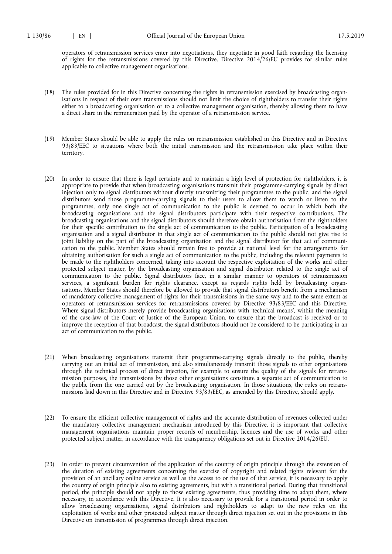operators of retransmission services enter into negotiations, they negotiate in good faith regarding the licensing of rights for the retransmissions covered by this Directive. Directive 2014/26/EU provides for similar rules applicable to collective management organisations.

- (18) The rules provided for in this Directive concerning the rights in retransmission exercised by broadcasting organisations in respect of their own transmissions should not limit the choice of rightholders to transfer their rights either to a broadcasting organisation or to a collective management organisation, thereby allowing them to have a direct share in the remuneration paid by the operator of a retransmission service.
- (19) Member States should be able to apply the rules on retransmission established in this Directive and in Directive 93/83/EEC to situations where both the initial transmission and the retransmission take place within their territory.
- (20) In order to ensure that there is legal certainty and to maintain a high level of protection for rightholders, it is appropriate to provide that when broadcasting organisations transmit their programme-carrying signals by direct injection only to signal distributors without directly transmitting their programmes to the public, and the signal distributors send those programme-carrying signals to their users to allow them to watch or listen to the programmes, only one single act of communication to the public is deemed to occur in which both the broadcasting organisations and the signal distributors participate with their respective contributions. The broadcasting organisations and the signal distributors should therefore obtain authorisation from the rightholders for their specific contribution to the single act of communication to the public. Participation of a broadcasting organisation and a signal distributor in that single act of communication to the public should not give rise to joint liability on the part of the broadcasting organisation and the signal distributor for that act of communication to the public. Member States should remain free to provide at national level for the arrangements for obtaining authorisation for such a single act of communication to the public, including the relevant payments to be made to the rightholders concerned, taking into account the respective exploitation of the works and other protected subject matter, by the broadcasting organisation and signal distributor, related to the single act of communication to the public. Signal distributors face, in a similar manner to operators of retransmission services, a significant burden for rights clearance, except as regards rights held by broadcasting organisations. Member States should therefore be allowed to provide that signal distributors benefit from a mechanism of mandatory collective management of rights for their transmissions in the same way and to the same extent as operators of retransmission services for retransmissions covered by Directive 93/83/EEC and this Directive. Where signal distributors merely provide broadcasting organisations with 'technical means', within the meaning of the case-law of the Court of Justice of the European Union, to ensure that the broadcast is received or to improve the reception of that broadcast, the signal distributors should not be considered to be participating in an act of communication to the public.
- (21) When broadcasting organisations transmit their programme-carrying signals directly to the public, thereby carrying out an initial act of transmission, and also simultaneously transmit those signals to other organisations through the technical process of direct injection, for example to ensure the quality of the signals for retransmission purposes, the transmissions by those other organisations constitute a separate act of communication to the public from the one carried out by the broadcasting organisation. In those situations, the rules on retransmissions laid down in this Directive and in Directive 93/83/EEC, as amended by this Directive, should apply.
- (22) To ensure the efficient collective management of rights and the accurate distribution of revenues collected under the mandatory collective management mechanism introduced by this Directive, it is important that collective management organisations maintain proper records of membership, licences and the use of works and other protected subject matter, in accordance with the transparency obligations set out in Directive 2014/26/EU.
- (23) In order to prevent circumvention of the application of the country of origin principle through the extension of the duration of existing agreements concerning the exercise of copyright and related rights relevant for the provision of an ancillary online service as well as the access to or the use of that service, it is necessary to apply the country of origin principle also to existing agreements, but with a transitional period. During that transitional period, the principle should not apply to those existing agreements, thus providing time to adapt them, where necessary, in accordance with this Directive. It is also necessary to provide for a transitional period in order to allow broadcasting organisations, signal distributors and rightholders to adapt to the new rules on the exploitation of works and other protected subject matter through direct injection set out in the provisions in this Directive on transmission of programmes through direct injection.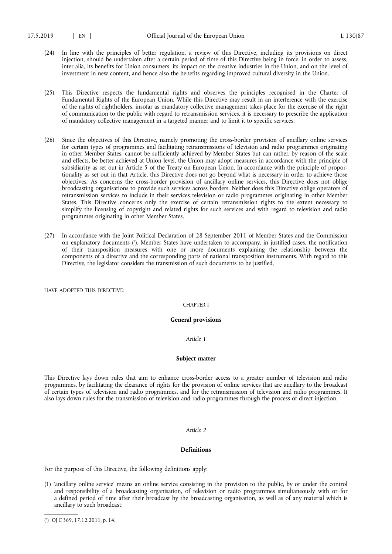- (24) In line with the principles of better regulation, a review of this Directive, including its provisions on direct injection, should be undertaken after a certain period of time of this Directive being in force, in order to assess, inter alia, its benefits for Union consumers, its impact on the creative industries in the Union, and on the level of investment in new content, and hence also the benefits regarding improved cultural diversity in the Union.
- (25) This Directive respects the fundamental rights and observes the principles recognised in the Charter of Fundamental Rights of the European Union. While this Directive may result in an interference with the exercise of the rights of rightholders, insofar as mandatory collective management takes place for the exercise of the right of communication to the public with regard to retransmission services, it is necessary to prescribe the application of mandatory collective management in a targeted manner and to limit it to specific services.
- (26) Since the objectives of this Directive, namely promoting the cross-border provision of ancillary online services for certain types of programmes and facilitating retransmissions of television and radio programmes originating in other Member States, cannot be sufficiently achieved by Member States but can rather, by reason of the scale and effects, be better achieved at Union level, the Union may adopt measures in accordance with the principle of subsidiarity as set out in Article 5 of the Treaty on European Union. In accordance with the principle of proportionality as set out in that Article, this Directive does not go beyond what is necessary in order to achieve those objectives. As concerns the cross-border provision of ancillary online services, this Directive does not oblige broadcasting organisations to provide such services across borders. Neither does this Directive oblige operators of retransmission services to include in their services television or radio programmes originating in other Member States. This Directive concerns only the exercise of certain retransmission rights to the extent necessary to simplify the licensing of copyright and related rights for such services and with regard to television and radio programmes originating in other Member States.
- (27) In accordance with the Joint Political Declaration of 28 September 2011 of Member States and the Commission on explanatory documents ( 8 ), Member States have undertaken to accompany, in justified cases, the notification of their transposition measures with one or more documents explaining the relationship between the components of a directive and the corresponding parts of national transposition instruments. With regard to this Directive, the legislator considers the transmission of such documents to be justified,

HAVE ADOPTED THIS DIRECTIVE:

## CHAPTER I

## **General provisions**

#### *Article 1*

## **Subject matter**

This Directive lays down rules that aim to enhance cross-border access to a greater number of television and radio programmes, by facilitating the clearance of rights for the provision of online services that are ancillary to the broadcast of certain types of television and radio programmes, and for the retransmission of television and radio programmes. It also lays down rules for the transmission of television and radio programmes through the process of direct injection.

## *Article 2*

## **Definitions**

For the purpose of this Directive, the following definitions apply:

<sup>(1) &#</sup>x27;ancillary online service' means an online service consisting in the provision to the public, by or under the control and responsibility of a broadcasting organisation, of television or radio programmes simultaneously with or for a defined period of time after their broadcast by the broadcasting organisation, as well as of any material which is ancillary to such broadcast;

<sup>(</sup> 8 ) OJ C 369, 17.12.2011, p. 14.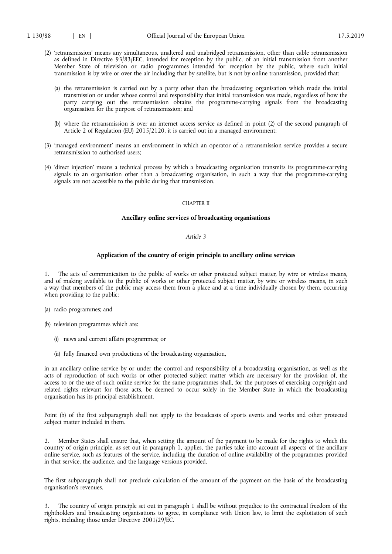- (2) 'retransmission' means any simultaneous, unaltered and unabridged retransmission, other than cable retransmission as defined in Directive 93/83/EEC, intended for reception by the public, of an initial transmission from another Member State of television or radio programmes intended for reception by the public, where such initial transmission is by wire or over the air including that by satellite, but is not by online transmission, provided that:
	- (a) the retransmission is carried out by a party other than the broadcasting organisation which made the initial transmission or under whose control and responsibility that initial transmission was made, regardless of how the party carrying out the retransmission obtains the programme-carrying signals from the broadcasting organisation for the purpose of retransmission; and
	- (b) where the retransmission is over an internet access service as defined in point (2) of the second paragraph of Article 2 of Regulation (EU) 2015/2120, it is carried out in a managed environment;
- (3) 'managed environment' means an environment in which an operator of a retransmission service provides a secure retransmission to authorised users;
- (4) 'direct injection' means a technical process by which a broadcasting organisation transmits its programme-carrying signals to an organisation other than a broadcasting organisation, in such a way that the programme-carrying signals are not accessible to the public during that transmission.

#### CHAPTER II

## **Ancillary online services of broadcasting organisations**

# *Article 3*

# **Application of the country of origin principle to ancillary online services**

1. The acts of communication to the public of works or other protected subject matter, by wire or wireless means, and of making available to the public of works or other protected subject matter, by wire or wireless means, in such a way that members of the public may access them from a place and at a time individually chosen by them, occurring when providing to the public:

- (a) radio programmes; and
- (b) television programmes which are:
	- (i) news and current affairs programmes; or
	- (ii) fully financed own productions of the broadcasting organisation,

in an ancillary online service by or under the control and responsibility of a broadcasting organisation, as well as the acts of reproduction of such works or other protected subject matter which are necessary for the provision of, the access to or the use of such online service for the same programmes shall, for the purposes of exercising copyright and related rights relevant for those acts, be deemed to occur solely in the Member State in which the broadcasting organisation has its principal establishment.

Point (b) of the first subparagraph shall not apply to the broadcasts of sports events and works and other protected subject matter included in them.

2. Member States shall ensure that, when setting the amount of the payment to be made for the rights to which the country of origin principle, as set out in paragraph 1, applies, the parties take into account all aspects of the ancillary online service, such as features of the service, including the duration of online availability of the programmes provided in that service, the audience, and the language versions provided.

The first subparagraph shall not preclude calculation of the amount of the payment on the basis of the broadcasting organisation's revenues.

3. The country of origin principle set out in paragraph 1 shall be without prejudice to the contractual freedom of the rightholders and broadcasting organisations to agree, in compliance with Union law, to limit the exploitation of such rights, including those under Directive 2001/29/EC.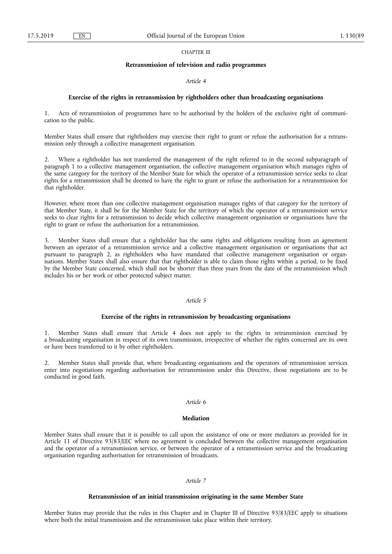# CHAPTER III

## **Retransmission of television and radio programmes**

## *Article 4*

# **Exercise of the rights in retransmission by rightholders other than broadcasting organisations**

1. Acts of retransmission of programmes have to be authorised by the holders of the exclusive right of communication to the public.

Member States shall ensure that rightholders may exercise their right to grant or refuse the authorisation for a retransmission only through a collective management organisation.

2. Where a rightholder has not transferred the management of the right referred to in the second subparagraph of paragraph 1 to a collective management organisation, the collective management organisation which manages rights of the same category for the territory of the Member State for which the operator of a retransmission service seeks to clear rights for a retransmission shall be deemed to have the right to grant or refuse the authorisation for a retransmission for that rightholder.

However, where more than one collective management organisation manages rights of that category for the territory of that Member State, it shall be for the Member State for the territory of which the operator of a retransmission service seeks to clear rights for a retransmission to decide which collective management organisation or organisations have the right to grant or refuse the authorisation for a retransmission.

3. Member States shall ensure that a rightholder has the same rights and obligations resulting from an agreement between an operator of a retransmission service and a collective management organisation or organisations that act pursuant to paragraph 2, as rightholders who have mandated that collective management organisation or organisations. Member States shall also ensure that that rightholder is able to claim those rights within a period, to be fixed by the Member State concerned, which shall not be shorter than three years from the date of the retransmission which includes his or her work or other protected subject matter.

# *Article 5*

## **Exercise of the rights in retransmission by broadcasting organisations**

1. Member States shall ensure that Article 4 does not apply to the rights in retransmission exercised by a broadcasting organisation in respect of its own transmission, irrespective of whether the rights concerned are its own or have been transferred to it by other rightholders.

2. Member States shall provide that, where broadcasting organisations and the operators of retransmission services enter into negotiations regarding authorisation for retransmission under this Directive, those negotiations are to be conducted in good faith.

# *Article 6*

# **Mediation**

Member States shall ensure that it is possible to call upon the assistance of one or more mediators as provided for in Article 11 of Directive 93/83/EEC where no agreement is concluded between the collective management organisation and the operator of a retransmission service, or between the operator of a retransmission service and the broadcasting organisation regarding authorisation for retransmission of broadcasts.

# *Article 7*

# **Retransmission of an initial transmission originating in the same Member State**

Member States may provide that the rules in this Chapter and in Chapter III of Directive 93/83/EEC apply to situations where both the initial transmission and the retransmission take place within their territory.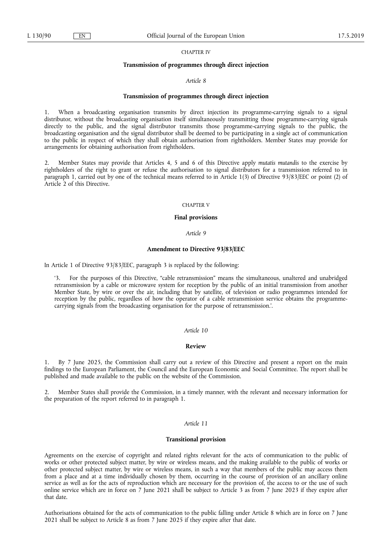CHAPTER IV

#### **Transmission of programmes through direct injection**

#### *Article 8*

# **Transmission of programmes through direct injection**

1. When a broadcasting organisation transmits by direct injection its programme-carrying signals to a signal distributor, without the broadcasting organisation itself simultaneously transmitting those programme-carrying signals directly to the public, and the signal distributor transmits those programme-carrying signals to the public, the broadcasting organisation and the signal distributor shall be deemed to be participating in a single act of communication to the public in respect of which they shall obtain authorisation from rightholders. Member States may provide for arrangements for obtaining authorisation from rightholders.

2. Member States may provide that Articles 4, 5 and 6 of this Directive apply *mutatis mutandis* to the exercise by rightholders of the right to grant or refuse the authorisation to signal distributors for a transmission referred to in paragraph 1, carried out by one of the technical means referred to in Article 1(3) of Directive 93/83/EEC or point (2) of Article 2 of this Directive.

#### CHAPTER V

#### **Final provisions**

## *Article 9*

# **Amendment to Directive 93/83/EEC**

In Article 1 of Directive 93/83/EEC, paragraph 3 is replaced by the following:

'3. For the purposes of this Directive, "cable retransmission" means the simultaneous, unaltered and unabridged retransmission by a cable or microwave system for reception by the public of an initial transmission from another Member State, by wire or over the air, including that by satellite, of television or radio programmes intended for reception by the public, regardless of how the operator of a cable retransmission service obtains the programmecarrying signals from the broadcasting organisation for the purpose of retransmission.'.

# *Article 10*

#### **Review**

1. By 7 June 2025, the Commission shall carry out a review of this Directive and present a report on the main findings to the European Parliament, the Council and the European Economic and Social Committee. The report shall be published and made available to the public on the website of the Commission.

2. Member States shall provide the Commission, in a timely manner, with the relevant and necessary information for the preparation of the report referred to in paragraph 1.

## *Article 11*

#### **Transitional provision**

Agreements on the exercise of copyright and related rights relevant for the acts of communication to the public of works or other protected subject matter, by wire or wireless means, and the making available to the public of works or other protected subject matter, by wire or wireless means, in such a way that members of the public may access them from a place and at a time individually chosen by them, occurring in the course of provision of an ancillary online service as well as for the acts of reproduction which are necessary for the provision of, the access to or the use of such online service which are in force on 7 June 2021 shall be subject to Article 3 as from 7 June 2023 if they expire after that date.

Authorisations obtained for the acts of communication to the public falling under Article 8 which are in force on 7 June 2021 shall be subject to Article 8 as from 7 June 2025 if they expire after that date.